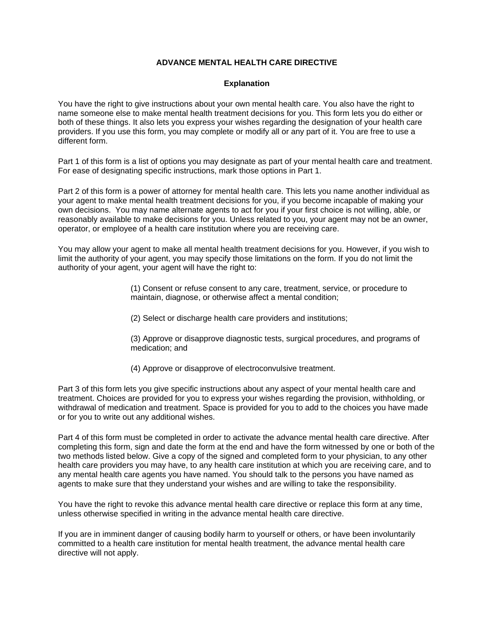### **ADVANCE MENTAL HEALTH CARE DIRECTIVE**

### **Explanation**

You have the right to give instructions about your own mental health care. You also have the right to name someone else to make mental health treatment decisions for you. This form lets you do either or both of these things. It also lets you express your wishes regarding the designation of your health care providers. If you use this form, you may complete or modify all or any part of it. You are free to use a different form.

Part 1 of this form is a list of options you may designate as part of your mental health care and treatment. For ease of designating specific instructions, mark those options in Part 1.

Part 2 of this form is a power of attorney for mental health care. This lets you name another individual as your agent to make mental health treatment decisions for you, if you become incapable of making your own decisions. You may name alternate agents to act for you if your first choice is not willing, able, or reasonably available to make decisions for you. Unless related to you, your agent may not be an owner, operator, or employee of a health care institution where you are receiving care.

You may allow your agent to make all mental health treatment decisions for you. However, if you wish to limit the authority of your agent, you may specify those limitations on the form. If you do not limit the authority of your agent, your agent will have the right to:

> (1) Consent or refuse consent to any care, treatment, service, or procedure to maintain, diagnose, or otherwise affect a mental condition;

(2) Select or discharge health care providers and institutions;

(3) Approve or disapprove diagnostic tests, surgical procedures, and programs of medication; and

(4) Approve or disapprove of electroconvulsive treatment.

Part 3 of this form lets you give specific instructions about any aspect of your mental health care and treatment. Choices are provided for you to express your wishes regarding the provision, withholding, or withdrawal of medication and treatment. Space is provided for you to add to the choices you have made or for you to write out any additional wishes.

Part 4 of this form must be completed in order to activate the advance mental health care directive. After completing this form, sign and date the form at the end and have the form witnessed by one or both of the two methods listed below. Give a copy of the signed and completed form to your physician, to any other health care providers you may have, to any health care institution at which you are receiving care, and to any mental health care agents you have named. You should talk to the persons you have named as agents to make sure that they understand your wishes and are willing to take the responsibility.

You have the right to revoke this advance mental health care directive or replace this form at any time, unless otherwise specified in writing in the advance mental health care directive.

If you are in imminent danger of causing bodily harm to yourself or others, or have been involuntarily committed to a health care institution for mental health treatment, the advance mental health care directive will not apply.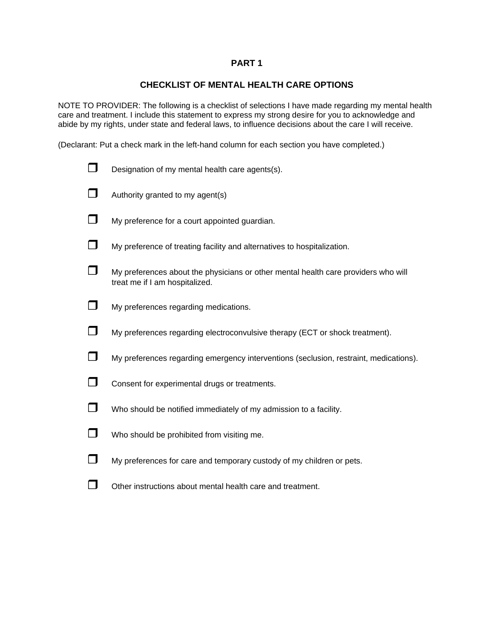## **PART 1**

## **CHECKLIST OF MENTAL HEALTH CARE OPTIONS**

NOTE TO PROVIDER: The following is a checklist of selections I have made regarding my mental health care and treatment. I include this statement to express my strong desire for you to acknowledge and abide by my rights, under state and federal laws, to influence decisions about the care I will receive.

(Declarant: Put a check mark in the left-hand column for each section you have completed.)

|              | Designation of my mental health care agents(s).                                                                      |
|--------------|----------------------------------------------------------------------------------------------------------------------|
| $\sqcap$     | Authority granted to my agent(s)                                                                                     |
| $\Box$       | My preference for a court appointed guardian.                                                                        |
| $\Box$       | My preference of treating facility and alternatives to hospitalization.                                              |
| $\mathsf{L}$ | My preferences about the physicians or other mental health care providers who will<br>treat me if I am hospitalized. |
| $\Box$       | My preferences regarding medications.                                                                                |
| $\Box$       | My preferences regarding electroconvulsive therapy (ECT or shock treatment).                                         |
| $\Box$       | My preferences regarding emergency interventions (seclusion, restraint, medications).                                |
| $\Box$       | Consent for experimental drugs or treatments.                                                                        |
| $\Box$       | Who should be notified immediately of my admission to a facility.                                                    |
| $\Box$       | Who should be prohibited from visiting me.                                                                           |
| $\Box$       | My preferences for care and temporary custody of my children or pets.                                                |
|              | Other instructions about mental health care and treatment.                                                           |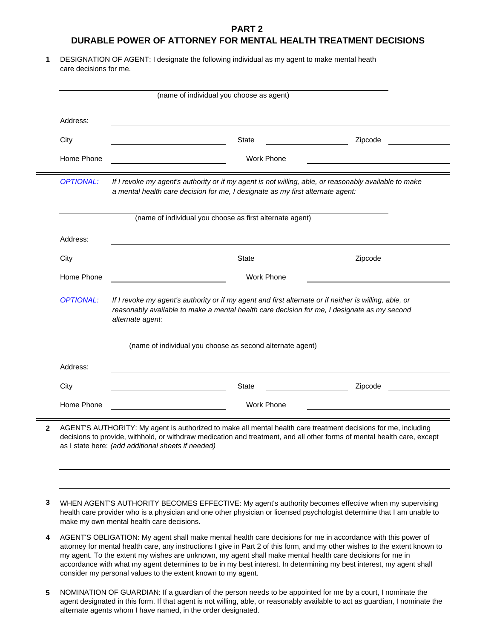### **PART 2**

## **DURABLE POWER OF ATTORNEY FOR MENTAL HEALTH TREATMENT DECISIONS**

**1** DESIGNATION OF AGENT: I designate the following individual as my agent to make mental heath care decisions for me.

| Address:                                                                                                                                                                                                    |                                                                                                                                                                                                                           |                   |         |  |
|-------------------------------------------------------------------------------------------------------------------------------------------------------------------------------------------------------------|---------------------------------------------------------------------------------------------------------------------------------------------------------------------------------------------------------------------------|-------------------|---------|--|
| City                                                                                                                                                                                                        | <b>State</b>                                                                                                                                                                                                              |                   | Zipcode |  |
| Home Phone                                                                                                                                                                                                  |                                                                                                                                                                                                                           | Work Phone        |         |  |
| If I revoke my agent's authority or if my agent is not willing, able, or reasonably available to make<br><b>OPTIONAL:</b><br>a mental health care decision for me, I designate as my first alternate agent: |                                                                                                                                                                                                                           |                   |         |  |
| (name of individual you choose as first alternate agent)                                                                                                                                                    |                                                                                                                                                                                                                           |                   |         |  |
| Address:                                                                                                                                                                                                    |                                                                                                                                                                                                                           |                   |         |  |
| City                                                                                                                                                                                                        |                                                                                                                                                                                                                           | <b>State</b>      | Zipcode |  |
| Home Phone                                                                                                                                                                                                  |                                                                                                                                                                                                                           | <b>Work Phone</b> |         |  |
| <b>OPTIONAL:</b>                                                                                                                                                                                            | If I revoke my agent's authority or if my agent and first alternate or if neither is willing, able, or<br>reasonably available to make a mental health care decision for me, I designate as my second<br>alternate agent: |                   |         |  |
| (name of individual you choose as second alternate agent)                                                                                                                                                   |                                                                                                                                                                                                                           |                   |         |  |
| Address:                                                                                                                                                                                                    |                                                                                                                                                                                                                           |                   |         |  |
| City                                                                                                                                                                                                        |                                                                                                                                                                                                                           | <b>State</b>      | Zipcode |  |
|                                                                                                                                                                                                             |                                                                                                                                                                                                                           | Work Phone        |         |  |

**3** WHEN AGENT'S AUTHORITY BECOMES EFFECTIVE: My agent's authority becomes effective when my supervising health care provider who is a physician and one other physician or licensed psychologist determine that I am unable to make my own mental health care decisions.

۰

- **4** AGENT'S OBLIGATION: My agent shall make mental health care decisions for me in accordance with this power of attorney for mental health care, any instructions I give in Part 2 of this form, and my other wishes to the extent known to my agent. To the extent my wishes are unknown, my agent shall make mental health care decisions for me in accordance with what my agent determines to be in my best interest. In determining my best interest, my agent shall consider my personal values to the extent known to my agent.
- **5** NOMINATION OF GUARDIAN: If a guardian of the person needs to be appointed for me by a court, I nominate the agent designated in this form. If that agent is not willing, able, or reasonably available to act as guardian, I nominate the alternate agents whom I have named, in the order designated.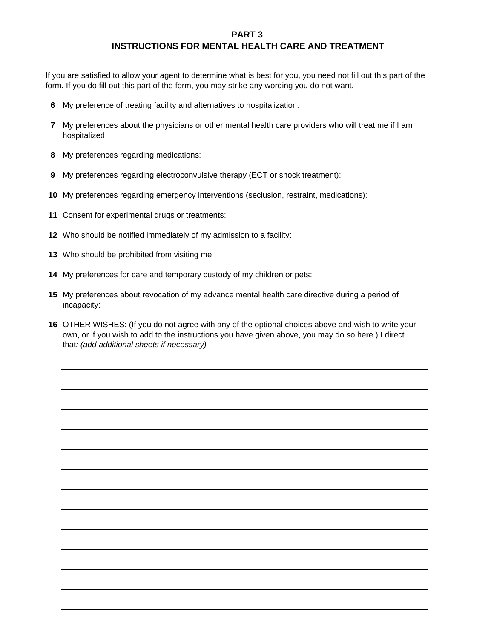#### **PART 3**

# **INSTRUCTIONS FOR MENTAL HEALTH CARE AND TREATMENT**

If you are satisfied to allow your agent to determine what is best for you, you need not fill out this part of the form. If you do fill out this part of the form, you may strike any wording you do not want.

- **6** My preference of treating facility and alternatives to hospitalization:
- **7** My preferences about the physicians or other mental health care providers who will treat me if I am hospitalized:
- **8** My preferences regarding medications:
- **9** My preferences regarding electroconvulsive therapy (ECT or shock treatment):
- **10** My preferences regarding emergency interventions (seclusion, restraint, medications):
- **11** Consent for experimental drugs or treatments:
- **12** Who should be notified immediately of my admission to a facility:
- **13** Who should be prohibited from visiting me:
- **14** My preferences for care and temporary custody of my children or pets:
- **15** My preferences about revocation of my advance mental health care directive during a period of incapacity:
- **16** OTHER WISHES: (If you do not agree with any of the optional choices above and wish to write your own, or if you wish to add to the instructions you have given above, you may do so here.) I direct that*: (add additional sheets if necessary)*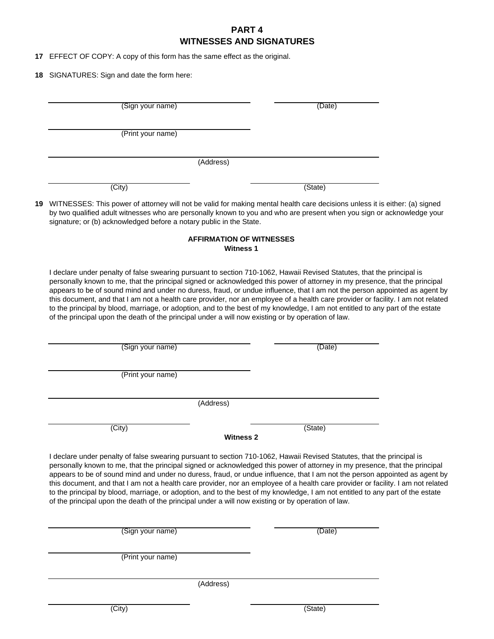### **PART 4 WITNESSES AND SIGNATURES**

**17** EFFECT OF COPY: A copy of this form has the same effect as the original.

**18** SIGNATURES: Sign and date the form here:

| (Sign your name)                                                                                   | (Date)                                                                                                                                                                                                                                                                                                                                                                                                                                                                                                                                                                                                                                                    |
|----------------------------------------------------------------------------------------------------|-----------------------------------------------------------------------------------------------------------------------------------------------------------------------------------------------------------------------------------------------------------------------------------------------------------------------------------------------------------------------------------------------------------------------------------------------------------------------------------------------------------------------------------------------------------------------------------------------------------------------------------------------------------|
|                                                                                                    |                                                                                                                                                                                                                                                                                                                                                                                                                                                                                                                                                                                                                                                           |
| (Print your name)                                                                                  |                                                                                                                                                                                                                                                                                                                                                                                                                                                                                                                                                                                                                                                           |
| (Address)                                                                                          |                                                                                                                                                                                                                                                                                                                                                                                                                                                                                                                                                                                                                                                           |
|                                                                                                    |                                                                                                                                                                                                                                                                                                                                                                                                                                                                                                                                                                                                                                                           |
| (City)                                                                                             | (State)                                                                                                                                                                                                                                                                                                                                                                                                                                                                                                                                                                                                                                                   |
| signature; or (b) acknowledged before a notary public in the State.                                | 19 WITNESSES: This power of attorney will not be valid for making mental health care decisions unless it is either: (a) signed<br>by two qualified adult witnesses who are personally known to you and who are present when you sign or acknowledge your                                                                                                                                                                                                                                                                                                                                                                                                  |
|                                                                                                    | <b>AFFIRMATION OF WITNESSES</b><br><b>Witness 1</b>                                                                                                                                                                                                                                                                                                                                                                                                                                                                                                                                                                                                       |
| of the principal upon the death of the principal under a will now existing or by operation of law. | I declare under penalty of false swearing pursuant to section 710-1062, Hawaii Revised Statutes, that the principal is<br>personally known to me, that the principal signed or acknowledged this power of attorney in my presence, that the principal<br>appears to be of sound mind and under no duress, fraud, or undue influence, that I am not the person appointed as agent by<br>this document, and that I am not a health care provider, nor an employee of a health care provider or facility. I am not related<br>to the principal by blood, marriage, or adoption, and to the best of my knowledge, I am not entitled to any part of the estate |
| (Sign your name)                                                                                   | (Date)                                                                                                                                                                                                                                                                                                                                                                                                                                                                                                                                                                                                                                                    |
|                                                                                                    |                                                                                                                                                                                                                                                                                                                                                                                                                                                                                                                                                                                                                                                           |
| (Print your name)                                                                                  |                                                                                                                                                                                                                                                                                                                                                                                                                                                                                                                                                                                                                                                           |
| (Address)                                                                                          |                                                                                                                                                                                                                                                                                                                                                                                                                                                                                                                                                                                                                                                           |
| (City)                                                                                             | (State)                                                                                                                                                                                                                                                                                                                                                                                                                                                                                                                                                                                                                                                   |
|                                                                                                    | <b>Witness 2</b>                                                                                                                                                                                                                                                                                                                                                                                                                                                                                                                                                                                                                                          |
| of the principal upon the death of the principal under a will now existing or by operation of law. | I declare under penalty of false swearing pursuant to section 710-1062, Hawaii Revised Statutes, that the principal is<br>personally known to me, that the principal signed or acknowledged this power of attorney in my presence, that the principal<br>appears to be of sound mind and under no duress, fraud, or undue influence, that I am not the person appointed as agent by<br>this document, and that I am not a health care provider, nor an employee of a health care provider or facility. I am not related<br>to the principal by blood, marriage, or adoption, and to the best of my knowledge, I am not entitled to any part of the estate |
| (Sign your name)                                                                                   | (Date)                                                                                                                                                                                                                                                                                                                                                                                                                                                                                                                                                                                                                                                    |
|                                                                                                    |                                                                                                                                                                                                                                                                                                                                                                                                                                                                                                                                                                                                                                                           |

(Address)